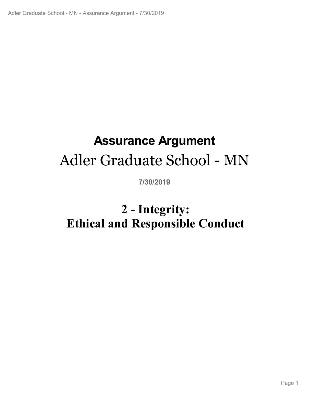# **Assurance Argument** Adler Graduate School - MN

**7/30/2019**

# Page 1 **2 - Integrity: Ethical and Responsible Conduct**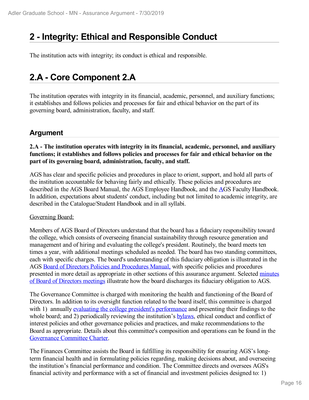# **2 - Integrity: Ethical and Responsible Conduct**

The institution acts with integrity; its conduct is ethical and responsible.

# **2.A - Core Component 2.A**

The institution operates with integrity in its financial, academic, personnel, and auxiliary functions; it establishes and follows policies and processes for fair and ethical behavior on the part of its governing board, administration, faculty, and staff.

### **Argument**

### **2.A - The institution operates with integrity in its financial, academic, personnel, and auxiliary functions; it establishes and follows policies and processes for fair and ethical behavior on the part of its governing board, administration, faculty, and staff.**

AGS has clear and specific policies and procedures in place to orient, support, and hold all parts of the institution accountable for behaving fairly and ethically. These policies and procedures are described in the AGS Board Manual, the AGS Employee Handbook, and the AGS Faculty Handbook. In addition, expectations about students' conduct, including but not limited to academic integrity, are described in the Catalogue/Student Handbook and in all syllabi.

### Governing Board:

Members of AGS Board of Directors understand that the board has a fiduciary responsibility toward the college, which consists of overseeing financial sustainability through resource generation and management and of hiring and evaluating the college's president. Routinely, the board meets ten times a year, with additional meetings scheduled as needed. The board has two standing committees, each with specific charges. The board's understanding of this fiduciary obligation is illustrated in the AGS Board of Directors Policies and Procedures Manual, with specific policies and procedures presented in more detail as appropriate in other sections of this assurance argument. Selected minutes of Board of Directors meetings illustrate how the board discharges its fiduciary obligation to AGS.

The Governance Committee is charged with monitoring the health and functioning of the Board of Directors. In addition to its oversight function related to the board itself, this committee is charged with 1) annually evaluating the college president's performance and presenting their findings to the whole board; and 2) periodically reviewing the institution's **bylaws**, ethical conduct and conflict of interest policies and other governance policies and practices, and make recommendations to the Board as appropriate. Details about this committee's composition and operations can be found in the Governance Committee Charter.

The Finances Committee assists the Board in fulfilling its responsibility for ensuring AGS's longterm financial health and in formulating policies regarding, making decisions about, and overseeing the institution's financial performance and condition. The Committee directs and oversees AGS's financial activity and performance with a set of financial and investment policies designed to: 1)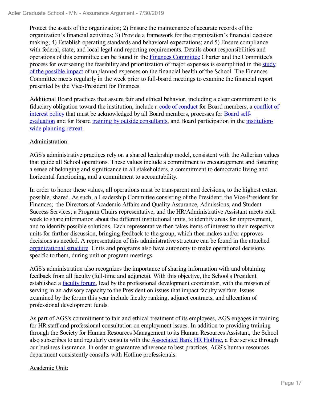Protect the assets of the organization; 2) Ensure the maintenance of accurate records of the organization's financial activities; 3) Provide a framework for the organization's financial decision making; 4) Establish operating standards and behavioral expectations; and 5) Ensure compliance with federal, state, and local legal and reporting requirements. Details about responsibilities and operations of this committee can be found in the Finances Committee Charter and the Committee's process for overseeing the feasibility and prioritization of major expenses is exemplified in the study of the possible impact of unplanned expenses on the financial health of the School. The Finances Committee meets regularly in the week prior to full-board meetings to examine the financial report presented by the Vice-President for Finances.

Additional Board practices that assure fair and ethical behavior, including a clear commitment to its fiduciary obligation toward the institution, include a code of conduct for Board members, a conflict of interest policy that must be acknowledged by all Board members, processes for Board selfevaluation and for Board training by outside consultants, and Board participation in the institutionwide planning retreat.

### Administration:

AGS's administrative practices rely on a shared leadership model, consistent with the Adlerian values that guide all School operations. These values include a commitment to encouragement and fostering a sense of belonging and significance in all stakeholders, a commitment to democratic living and horizontal functioning, and a commitment to accountability.

In order to honor these values, all operations must be transparent and decisions, to the highest extent possible, shared. As such, a Leadership Committee consisting of the President; the Vice-President for Finances; the Directors of Academic Affairs and Quality Assurance, Admissions, and Student Success Services; a Program Chairs representative; and the HR/Administrative Assistant meets each week to share information about the different institutional units, to identify areas for improvement, and to identify possible solutions. Each representative then takes items of interest to their respective units for further discussion, bringing feedback to the group, which then makes and/or approves decisions as needed. A representation of this administrative structure can be found in the attached organizational structure. Units and programs also have autonomy to make operational decisions specific to them, during unit or program meetings.

AGS's administration also recognizes the importance of sharing information with and obtaining feedback from all faculty (full-time and adjuncts). With this objective, the School's President established a faculty forum, lead by the professional development coordinator, with the mission of serving in an advisory capacity to the President on issues that impact faculty welfare. Issues examined by the forum this year include faculty ranking, adjunct contracts, and allocation of professional development funds.

As part of AGS's commitment to fair and ethical treatment of its employees, AGS engages in training for HR staff and professional consultation on employment issues. In addition to providing training through the Society for Human Resources Management to its Human Resources Assistant, the School also subscribes to and regularly consults with the **Associated Bank HR Hotline**, a free service through our business insurance. In order to guarantee adherence to best practices, AGS's human resources department consistently consults with Hotline professionals.

### Academic Unit: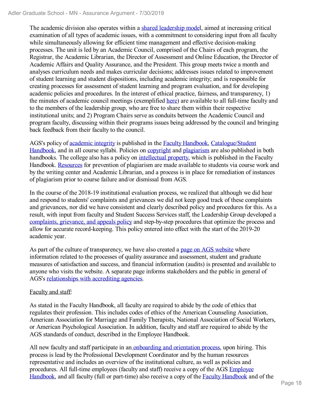The academic division also operates within a shared leadership model, aimed at increasing critical examination of all types of academic issues, with a commitment to considering input from all faculty while simultaneously allowing for efficient time management and effective decision-making processes. The unit is led by an Academic Council, comprised of the Chairs of each program, the Registrar, the Academic Librarian, the Director of Assessment and Online Education, the Director of Academic Affairs and Quality Assurance, and the President. This group meets twice a month and analyses curriculum needs and makes curricular decisions; addresses issues related to improvement of student learning and student dispositions, including academic integrity; and is responsible for creating processes for assessment of student learning and program evaluation, and for developing academic policies and procedures. In the interest of ethical practice, fairness, and transparency, 1) the minutes of academic council meetings (exemplified here) are available to all full-time faculty and to the members of the leadership group, who are free to share them within their respective institutional units; and 2) Program Chairs serve as conduits between the Academic Council and program faculty, discussing within their programs issues being addressed by the council and bringing back feedback from their faculty to the council.

AGS's policy of academic integrity is published in the Faculty Handbook, Catalogue/Student Handbook, and in all course syllabi. Policies on copyright and plagiarism are also published in both handbooks. The college also has a policy on intellectual property, which is published in the Faculty Handbook. Resources for prevention of plagiarism are made available to students via course work and by the writing center and Academic Librarian, and a process is in place for remediation of instances of plagiarism prior to course failure and/or dismissal from AGS.

In the course of the 2018-19 institutional evaluation process, we realized that although we did hear and respond to students' complaints and grievances we did not keep good track of these complaints and grievances, nor did we have consistent and clearly described policy and procedures for this. As a result, with input from faculty and Student Success Services staff, the Leadership Group developed a complaints, grievance, and appeals policy and step-by-step procedures that optimize the process and allow for accurate record-keeping. This policy entered into effect with the start of the 2019-20 academic year.

As part of the culture of transparency, we have also created a page on AGS website where information related to the processes of quality assurance and assessment, student and graduate measures of satisfaction and success, and financial information (audits) is presented and available to anyone who visits the website. A separate page informs stakeholders and the public in general of AGS's relationships with accrediting agencies.

### Faculty and staff:

As stated in the Faculty Handbook, all faculty are required to abide by the code of ethics that regulates their profession. This includes codes of ethics of the American Counseling Association, American Association for Marriage and Family Therapists, National Association of Social Workers, or American Psychological Association. In addition, faculty and staff are required to abide by the AGS standards of conduct, described in the Employee Handbook.

All new faculty and staff participate in an onboarding and orientation process, upon hiring. This process is lead by the Professional Development Coordinator and by the human resources representative and includes an overview of the institutional culture, as well as policies and procedures. All full-time employees (faculty and staff) receive a copy of the AGS Employee Handbook, and all faculty (full or part-time) also receive a copy of the Faculty Handbook and of the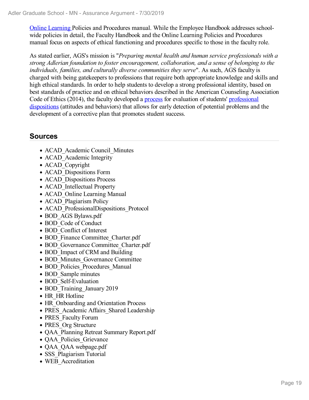Online Learning Policies and Procedures manual. While the Employee Handbook addresses schoolwide policies in detail, the Faculty Handbook and the Online Learning Policies and Procedures manual focus on aspects of ethical functioning and procedures specific to those in the faculty role.

As stated earlier, AGS's mission is "*Preparing mental health and human service professionals with a strong Adlerian foundation to foster encouragement, collaboration, and a sense of belonging to the individuals, families, and culturally diverse communities they serve*". As such, AGS faculty is charged with being gatekeepers to professions that require both appropriate knowledge and skills and high ethical standards. In order to help students to develop a strong professional identity, based on best standards of practice and on ethical behaviors described in the American Counseling Association Code of Ethics (2014), the faculty developed a process for evaluation of students' professional dispositions (attitudes and behaviors) that allows for early detection of potential problems and the development of a corrective plan that promotes student success.

- ACAD Academic Council Minutes
- ACAD Academic Integrity
- ACAD Copyright
- ACAD Dispositions Form
- ACAD Dispositions Process
- ACAD Intellectual Property
- ACAD Online Learning Manual
- ACAD Plagiarism Policy
- ACAD ProfessionalDispositions Protocol
- BOD AGS Bylaws.pdf
- BOD Code of Conduct
- BOD Conflict of Interest
- BOD Finance Committee Charter.pdf
- BOD Governance Committee Charter.pdf
- BOD Impact of CRM and Building
- BOD Minutes Governance Committee
- BOD Policies Procedures Manual
- BOD Sample minutes
- BOD Self-Evaluation
- BOD Training January 2019
- HR HR Hotline
- HR Onboarding and Orientation Process
- PRES Academic Affairs Shared Leadership
- PRES Faculty Forum
- PRES Org Structure
- QAA\_Planning Retreat Summary Report.pdf
- OAA Policies Grievance
- QAA QAA webpage.pdf
- SSS Plagiarism Tutorial
- WEB Accreditation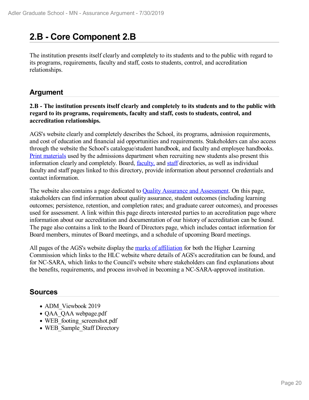# **2.B - Core Component 2.B**

The institution presents itself clearly and completely to its students and to the public with regard to its programs, requirements, faculty and staff, costs to students, control, and accreditation relationships.

### **Argument**

### **2.B - The institution presents itself clearly and completely to its students and to the public with regard to its programs, requirements, faculty and staff, costs to students, control, and accreditation relationships.**

AGS's website clearly and completely describes the School, its programs, admission requirements, and cost of education and financial aid opportunities and requirements. Stakeholders can also access through the website the School's catalogue/student handbook, and faculty and employee handbooks. Print materials used by the admissions department when recruiting new students also present this information clearly and completely. Board, <u>faculty</u>, and staff directories, as well as individual faculty and staff pages linked to this directory, provide information about personnel credentials and contact information.

The website also contains a page dedicated to **Quality Assurance and Assessment**. On this page, stakeholders can find information about quality assurance, student outcomes (including learning outcomes; persistence, retention, and completion rates; and graduate career outcomes), and processes used for assessment. A link within this page directs interested parties to an accreditation page where information about our accreditation and documentation of our history of accreditation can be found. The page also contains a link to the Board of Directors page, which includes contact information for Board members, minutes of Board meetings, and a schedule of upcoming Board meetings.

All pages of the AGS's website display the marks of affiliation for both the Higher Learning Commission which links to the HLC website where details of AGS's accreditation can be found, and for NC-SARA, which links to the Council's website where stakeholders can find explanations about the benefits, requirements, and process involved in becoming a NC-SARA-approved institution.

- ADM Viewbook 2019
- QAA QAA webpage.pdf
- WEB footing screenshot.pdf
- WEB Sample Staff Directory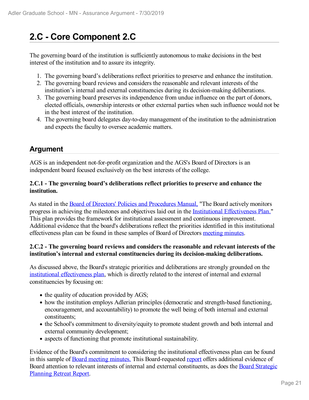# **2.C - Core Component 2.C**

The governing board of the institution is sufficiently autonomous to make decisions in the best interest of the institution and to assure its integrity.

- 1. The governing board's deliberations reflect priorities to preserve and enhance the institution.
- 2. The governing board reviews and considers the reasonable and relevant interests of the institution's internal and external constituencies during its decision-making deliberations.
- 3. The governing board preserves its independence from undue influence on the part of donors, elected officials, ownership interests or other external parties when such influence would not be in the best interest of the institution.
- 4. The governing board delegates day-to-day management of the institution to the administration and expects the faculty to oversee academic matters.

### **Argument**

AGS is an independent not-for-profit organization and the AGS's Board of Directors is an independent board focused exclusively on the best interests of the college.

### **2.C.1 - The governing board's deliberations reflect priorities to preserve and enhance the institution.**

As stated in the Board of Directors' Policies and Procedures Manual, "The Board actively monitors progress in achieving the milestones and objectives laid out in the Institutional Effectiveness Plan." This plan provides the framework for institutional assessment and continuous improvement. Additional evidence that the board's deliberations reflect the priorities identified in this institutional effectiveness plan can be found in these samples of Board of Directors meeting minutes.

### **2.C.2 - The governing board reviews and considers the reasonable and relevant interests of the institution's internal and external constituencies during its decision-making deliberations.**

As discussed above, the Board's strategic priorities and deliberations are strongly grounded on the institutional effectiveness plan, which is directly related to the interest of internal and external constituencies by focusing on:

- the quality of education provided by AGS;
- how the institution employs Adlerian principles (democratic and strength-based functioning, encouragement, and accountability) to promote the well being of both internal and external constituents;
- the School's commitment to diversity/equity to promote student growth and both internal and external community development;
- aspects of functioning that promote institutional sustainability.

Evidence of the Board's commitment to considering the institutional effectiveness plan can be found in this sample of Board meeting minutes. This Board-requested report offers additional evidence of Board attention to relevant interests of internal and external constituents, as does the Board Strategic Planning Retreat Report.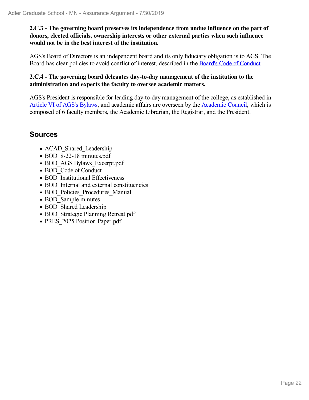**2.C.3 - The governing board preserves its independence from undue influence on the part of donors, elected officials, ownership interests or other external parties when such influence would not be in the best interest of the institution.**

AGS's Board of Directors is an independent board and its only fiduciary obligation is to AGS. The Board has clear policies to avoid conflict of interest, described in the Board's Code of Conduct.

### **2.C.4 - The governing board delegates day-to-day management of the institution to the administration and expects the faculty to oversee academic matters.**

AGS's President is responsible for leading day-to-day management of the college, as established in Article VI of AGS's Bylaws, and academic affairs are overseen by the Academic Council, which is composed of 6 faculty members, the Academic Librarian, the Registrar, and the President.

- ACAD Shared Leadership
- BOD 8-22-18 minutes.pdf
- BOD AGS Bylaws Excerpt.pdf
- BOD Code of Conduct
- BOD Institutional Effectiveness
- BOD Internal and external constituencies
- BOD Policies Procedures Manual
- BOD Sample minutes
- BOD Shared Leadership
- BOD Strategic Planning Retreat.pdf
- PRES 2025 Position Paper.pdf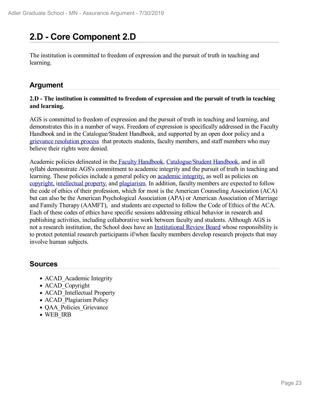# **2.D - Core Component 2.D**

The institution is committed to freedom of expression and the pursuit of truth in teaching and learning.

### **Argument**

### **2.D - The institution is committed to freedom of expression and the pursuit of truth in teaching and learning.**

AGS is committed to freedom of expression and the pursuit of truth in teaching and learning, and demonstrates this in a number of ways. Freedom of expression is specifically addressed in the Faculty Handbook and in the Catalogue/Student Handbook, and supported by an open door policy and a grievance resolution process that protects students, faculty members, and staff members who may believe their rights were denied.

Academic policies delineated in the Faculty Handbook, Catalogue/Student Handbook, and in all syllabi demonstrate AGS's commitment to academic integrity and the pursuit of truth in teaching and learning. These policies include a general policy on **academic integrity**, as well as policies on copyright, intellectual property, and plagiarism. In addition, faculty members are expected to follow the code of ethics of their profession, which for most is the American Counseling Association (ACA) but can also be the American Psychological Association (APA) or American Association of Marriage and Family Therapy (AAMFT), and students are expected to follow the Code of Ethics of the ACA. Each of these codes of ethics have specific sessions addressing ethical behavior in research and publishing activities, including collaborative work between faculty and students. Although AGS is not a research institution, the School does have an Institutional Review Board whose responsibility is to protect potential research participants if/when faculty members develop research projects that may involve human subjects.

- ACAD Academic Integrity
- ACAD Copyright
- ACAD Intellectual Property
- ACAD Plagiarism Policy
- QAA Policies Grievance
- WEB IRB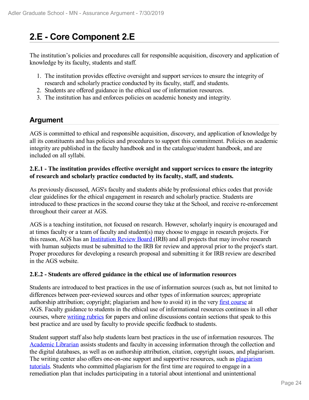# **2.E - Core Component 2.E**

The institution's policies and procedures call for responsible acquisition, discovery and application of knowledge by its faculty, students and staff.

- 1. The institution provides effective oversight and support services to ensure the integrity of research and scholarly practice conducted by its faculty, staff, and students.
- 2. Students are offered guidance in the ethical use of information resources.
- 3. The institution has and enforces policies on academic honesty and integrity.

### **Argument**

AGS is committed to ethical and responsible acquisition, discovery, and application of knowledge by all its constituents and has policies and procedures to support this commitment. Policies on academic integrity are published in the faculty handbook and in the catalogue/student handbook, and are included on all syllabi.

### **2.E.1 - The institution provides effective oversight and support services to ensure the integrity of research and scholarly practice conducted by its faculty, staff, and students.**

As previously discussed, AGS's faculty and students abide by professional ethics codes that provide clear guidelines for the ethical engagement in research and scholarly practice. Students are introduced to these practices in the second course they take at the School, and receive re-enforcement throughout their career at AGS.

AGS is a teaching institution, not focused on research. However, scholarly inquiry is encouraged and at times faculty or a team of faculty and student(s) may choose to engage in research projects. For this reason, AGS has an Institution Review Board (IRB) and all projects that may involve research with human subjects must be submitted to the IRB for review and approval prior to the project's start. Proper procedures for developing a research proposal and submitting it for IRB review are described in the AGS website.

### **2.E.2 - Students are offered guidance in the ethical use of information resources**

Students are introduced to best practices in the use of information sources (such as, but not limited to differences between peer-reviewed sources and other types of information sources; appropriate authorship attribution; copyright; plagiarism and how to avoid it) in the very first course at AGS. Faculty guidance to students in the ethical use of informational resources continues in all other courses, where writing rubrics for papers and online discussions contain sections that speak to this best practice and are used by faculty to provide specific feedback to students.

Student support staff also help students learn best practices in the use of information resources. The Academic Librarian assists students and faculty in accessing information through the collection and the digital databases, as well as on authorship attribution, citation, copyright issues, and plagiarism. The writing center also offers one-on-one support and supportive resources, such as plagiarism tutorials. Students who committed plagiarism for the first time are required to engage in a remediation plan that includes participating in a tutorial about intentional and unintentional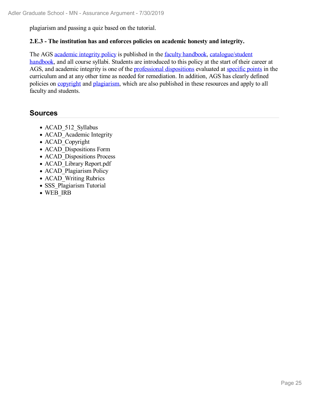plagiarism and passing a quiz based on the tutorial.

### **2.E.3 - The institution has and enforces policies on academic honesty and integrity.**

The AGS academic integrity policy is published in the faculty handbook, catalogue/student handbook, and all course syllabi. Students are introduced to this policy at the start of their career at AGS, and academic integrity is one of the professional dispositions evaluated at specific points in the curriculum and at any other time as needed for remediation. In addition, AGS has clearly defined policies on copyright and plagiarism, which are also published in these resources and apply to all faculty and students.

- ACAD 512 Syllabus
- ACAD Academic Integrity
- ACAD Copyright
- ACAD Dispositions Form
- ACAD Dispositions Process
- ACAD Library Report.pdf
- ACAD Plagiarism Policy
- ACAD Writing Rubrics
- SSS Plagiarism Tutorial
- WEB IRB